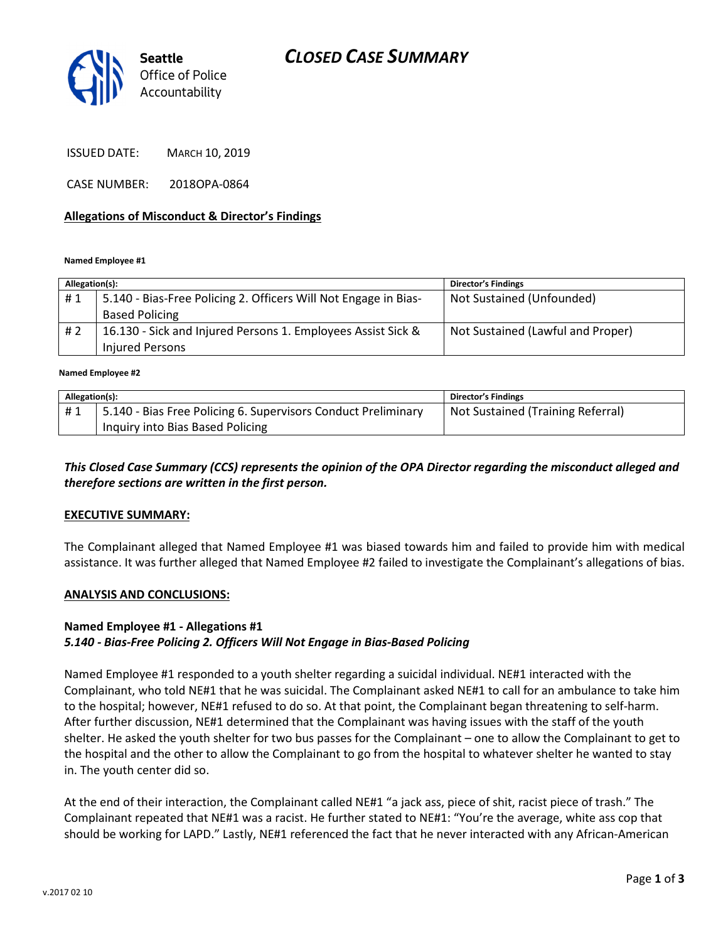# CLOSED CASE SUMMARY



ISSUED DATE: MARCH 10, 2019

CASE NUMBER: 2018OPA-0864

### Allegations of Misconduct & Director's Findings

#### Named Employee #1

| Allegation(s): |                                                                 | <b>Director's Findings</b>        |
|----------------|-----------------------------------------------------------------|-----------------------------------|
| #1             | 5.140 - Bias-Free Policing 2. Officers Will Not Engage in Bias- | Not Sustained (Unfounded)         |
|                | <b>Based Policing</b>                                           |                                   |
| # 2            | 16.130 - Sick and Injured Persons 1. Employees Assist Sick &    | Not Sustained (Lawful and Proper) |
|                | <b>Injured Persons</b>                                          |                                   |
|                |                                                                 |                                   |

#### Named Employee #2

| Allegation(s): |                                                               | <b>Director's Findings</b>        |
|----------------|---------------------------------------------------------------|-----------------------------------|
|                | 5.140 - Bias Free Policing 6. Supervisors Conduct Preliminary | Not Sustained (Training Referral) |
|                | Inquiry into Bias Based Policing                              |                                   |

### This Closed Case Summary (CCS) represents the opinion of the OPA Director regarding the misconduct alleged and therefore sections are written in the first person.

#### EXECUTIVE SUMMARY:

The Complainant alleged that Named Employee #1 was biased towards him and failed to provide him with medical assistance. It was further alleged that Named Employee #2 failed to investigate the Complainant's allegations of bias.

#### ANALYSIS AND CONCLUSIONS:

#### Named Employee #1 - Allegations #1

### 5.140 - Bias-Free Policing 2. Officers Will Not Engage in Bias-Based Policing

Named Employee #1 responded to a youth shelter regarding a suicidal individual. NE#1 interacted with the Complainant, who told NE#1 that he was suicidal. The Complainant asked NE#1 to call for an ambulance to take him to the hospital; however, NE#1 refused to do so. At that point, the Complainant began threatening to self-harm. After further discussion, NE#1 determined that the Complainant was having issues with the staff of the youth shelter. He asked the youth shelter for two bus passes for the Complainant – one to allow the Complainant to get to the hospital and the other to allow the Complainant to go from the hospital to whatever shelter he wanted to stay in. The youth center did so.

At the end of their interaction, the Complainant called NE#1 "a jack ass, piece of shit, racist piece of trash." The Complainant repeated that NE#1 was a racist. He further stated to NE#1: "You're the average, white ass cop that should be working for LAPD." Lastly, NE#1 referenced the fact that he never interacted with any African-American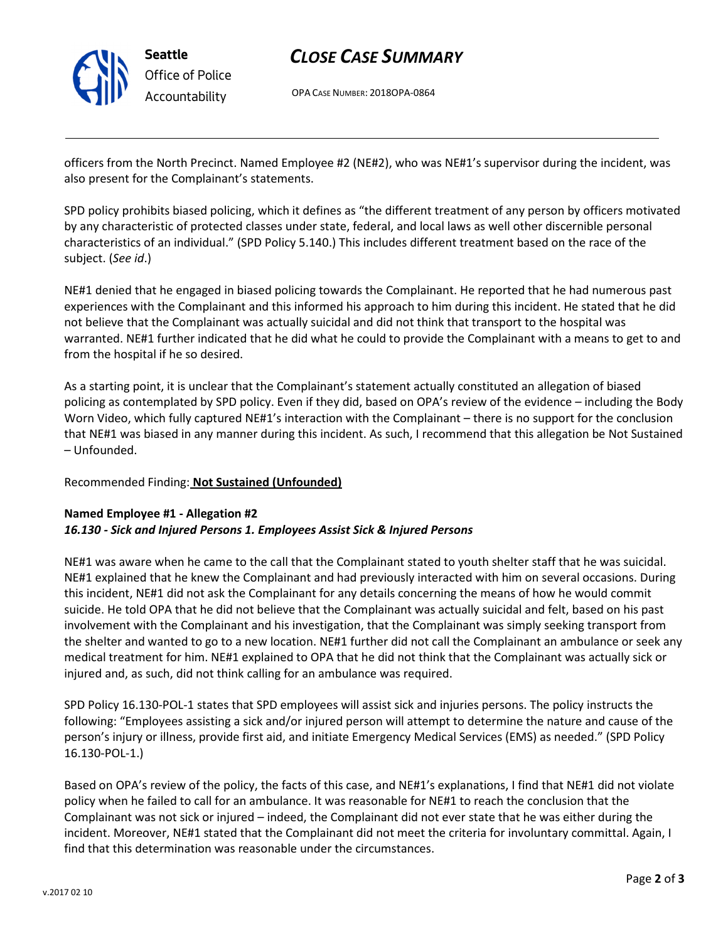

# CLOSE CASE SUMMARY

OPA CASE NUMBER: 2018OPA-0864

officers from the North Precinct. Named Employee #2 (NE#2), who was NE#1's supervisor during the incident, was also present for the Complainant's statements.

SPD policy prohibits biased policing, which it defines as "the different treatment of any person by officers motivated by any characteristic of protected classes under state, federal, and local laws as well other discernible personal characteristics of an individual." (SPD Policy 5.140.) This includes different treatment based on the race of the subject. (See id.)

NE#1 denied that he engaged in biased policing towards the Complainant. He reported that he had numerous past experiences with the Complainant and this informed his approach to him during this incident. He stated that he did not believe that the Complainant was actually suicidal and did not think that transport to the hospital was warranted. NE#1 further indicated that he did what he could to provide the Complainant with a means to get to and from the hospital if he so desired.

As a starting point, it is unclear that the Complainant's statement actually constituted an allegation of biased policing as contemplated by SPD policy. Even if they did, based on OPA's review of the evidence – including the Body Worn Video, which fully captured NE#1's interaction with the Complainant – there is no support for the conclusion that NE#1 was biased in any manner during this incident. As such, I recommend that this allegation be Not Sustained – Unfounded.

## Recommended Finding: Not Sustained (Unfounded)

## Named Employee #1 - Allegation #2 16.130 - Sick and Injured Persons 1. Employees Assist Sick & Injured Persons

NE#1 was aware when he came to the call that the Complainant stated to youth shelter staff that he was suicidal. NE#1 explained that he knew the Complainant and had previously interacted with him on several occasions. During this incident, NE#1 did not ask the Complainant for any details concerning the means of how he would commit suicide. He told OPA that he did not believe that the Complainant was actually suicidal and felt, based on his past involvement with the Complainant and his investigation, that the Complainant was simply seeking transport from the shelter and wanted to go to a new location. NE#1 further did not call the Complainant an ambulance or seek any medical treatment for him. NE#1 explained to OPA that he did not think that the Complainant was actually sick or injured and, as such, did not think calling for an ambulance was required.

SPD Policy 16.130-POL-1 states that SPD employees will assist sick and injuries persons. The policy instructs the following: "Employees assisting a sick and/or injured person will attempt to determine the nature and cause of the person's injury or illness, provide first aid, and initiate Emergency Medical Services (EMS) as needed." (SPD Policy 16.130-POL-1.)

Based on OPA's review of the policy, the facts of this case, and NE#1's explanations, I find that NE#1 did not violate policy when he failed to call for an ambulance. It was reasonable for NE#1 to reach the conclusion that the Complainant was not sick or injured – indeed, the Complainant did not ever state that he was either during the incident. Moreover, NE#1 stated that the Complainant did not meet the criteria for involuntary committal. Again, I find that this determination was reasonable under the circumstances.